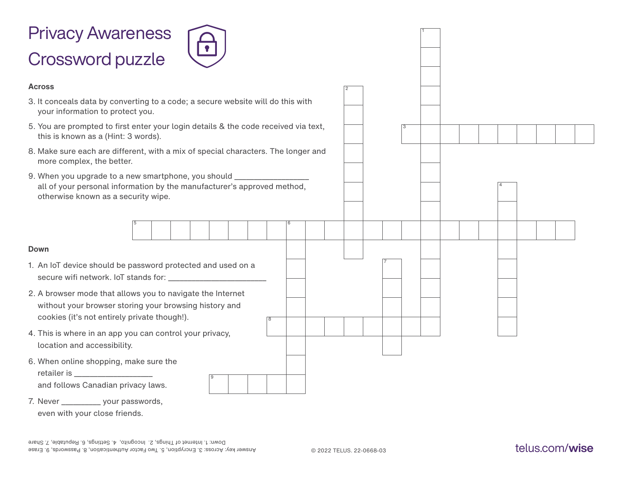

| 9. When you upgrade to a new smartphone, you should ______________________<br>all of your personal information by the manufacturer's approved method,<br>otherwise known as a security wipe. |   |
|----------------------------------------------------------------------------------------------------------------------------------------------------------------------------------------------|---|
|                                                                                                                                                                                              |   |
| <b>Down</b>                                                                                                                                                                                  |   |
| 1. An IoT device should be password protected and used on a                                                                                                                                  |   |
| 2. A browser mode that allows you to navigate the Internet<br>without your browser storing your browsing history and<br>cookies (it's not entirely private though!).                         | 8 |
| 4. This is where in an app you can control your privacy,<br>location and accessibility.                                                                                                      |   |
| 6. When online shopping, make sure the<br>retailer is ___________________<br>and follows Canadian privacy laws.                                                                              |   |
| 7. Never ____________ your passwords,<br>even with your close friends.                                                                                                                       |   |

1

3